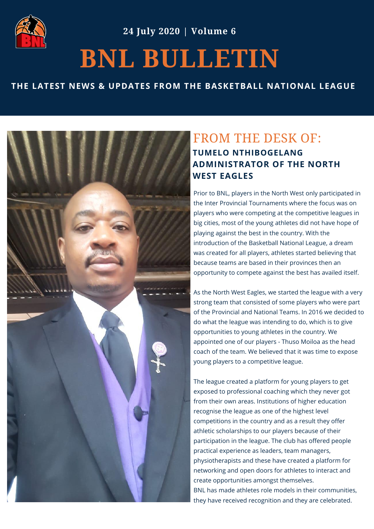

**24 July 2020 | Volume 6**

## **BNL BULLETIN**

## **THE LATEST NEWS & UPDATES FROM THE BASKETBALL NATIONAL LEAGUE**



## FROM THE DESK OF: **TUMELO NTHIBOGELANG ADMINISTRATOR OF THE NORTH WEST EAGLES**

Prior to BNL, players in the North West only participated in the Inter Provincial Tournaments where the focus was on players who were competing at the competitive leagues in big cities, most of the young athletes did not have hope of playing against the best in the country. With the introduction of the Basketball National League, a dream was created for all players, athletes started believing that because teams are based in their provinces then an opportunity to compete against the best has availed itself.

As the North West Eagles, we started the league with a very strong team that consisted of some players who were part of the Provincial and National Teams. In 2016 we decided to do what the league was intending to do, which is to give opportunities to young athletes in the country. We appointed one of our players - Thuso Moiloa as the head coach of the team. We believed that it was time to expose young players to a competitive league.

The league created a platform for young players to get exposed to professional coaching which they never got from their own areas. Institutions of higher education recognise the league as one of the highest level competitions in the country and as a result they offer athletic scholarships to our players because of their participation in the league. The club has offered people practical experience as leaders, team managers, physiotherapists and these have created a platform for networking and open doors for athletes to interact and create opportunities amongst themselves. BNL has made athletes role models in their communities, they have received recognition and they are celebrated.